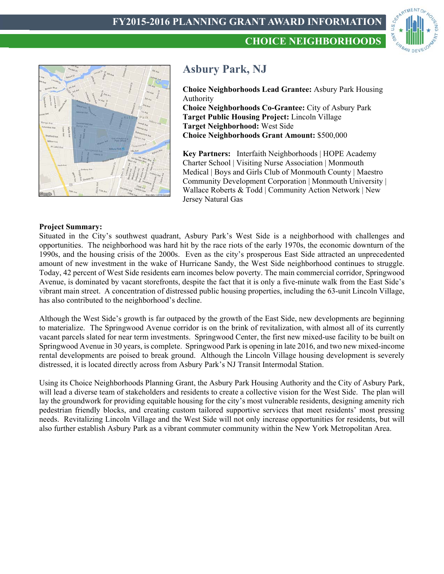



# **Asbury Park, NJ**

**Choice Neighborhoods Lead Grantee:** Asbury Park Housing Authority **Choice Neighborhoods Co-Grantee:** City of Asbury Park **Target Public Housing Project:** Lincoln Village **Target Neighborhood:** West Side **Choice Neighborhoods Grant Amount:** \$500,000

**Key Partners:** Interfaith Neighborhoods | HOPE Academy Charter School | Visiting Nurse Association | Monmouth Medical | Boys and Girls Club of Monmouth County | Maestro Community Development Corporation | Monmouth University | Wallace Roberts & Todd | Community Action Network | New Jersey Natural Gas

# **Project Summary:**

Situated in the City's southwest quadrant, Asbury Park's West Side is a neighborhood with challenges and opportunities. The neighborhood was hard hit by the race riots of the early 1970s, the economic downturn of the 1990s, and the housing crisis of the 2000s. Even as the city's prosperous East Side attracted an unprecedented amount of new investment in the wake of Hurricane Sandy, the West Side neighborhood continues to struggle. Today, 42 percent of West Side residents earn incomes below poverty. The main commercial corridor, Springwood Avenue, is dominated by vacant storefronts, despite the fact that it is only a five-minute walk from the East Side's vibrant main street. A concentration of distressed public housing properties, including the 63-unit Lincoln Village, has also contributed to the neighborhood's decline.

Although the West Side's growth is far outpaced by the growth of the East Side, new developments are beginning to materialize. The Springwood Avenue corridor is on the brink of revitalization, with almost all of its currently vacant parcels slated for near term investments. Springwood Center, the first new mixed-use facility to be built on Springwood Avenue in 30 years, is complete. Springwood Park is opening in late 2016, and two new mixed-income rental developments are poised to break ground. Although the Lincoln Village housing development is severely distressed, it is located directly across from Asbury Park's NJ Transit Intermodal Station.

Using its Choice Neighborhoods Planning Grant, the Asbury Park Housing Authority and the City of Asbury Park, will lead a diverse team of stakeholders and residents to create a collective vision for the West Side. The plan will lay the groundwork for providing equitable housing for the city's most vulnerable residents, designing amenity rich pedestrian friendly blocks, and creating custom tailored supportive services that meet residents' most pressing needs. Revitalizing Lincoln Village and the West Side will not only increase opportunities for residents, but will also further establish Asbury Park as a vibrant commuter community within the New York Metropolitan Area.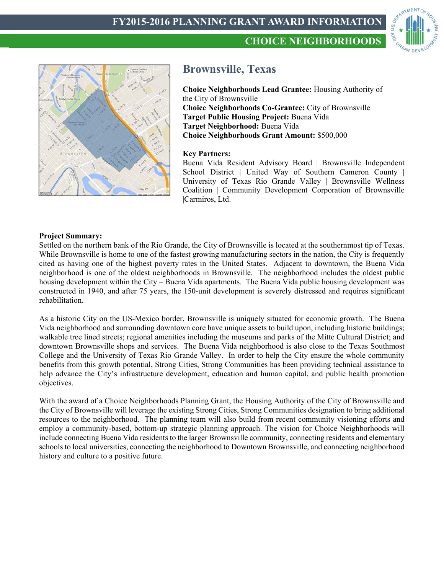



# **Brownsville, Texas**

**Choice Neighborhoods Lead Grantee:** Housing Authority of the City of Brownsville **Choice Neighborhoods Co-Grantee:** City of Brownsville **Target Public Housing Project:** Buena Vida **Target Neighborhood:** Buena Vida **Choice Neighborhoods Grant Amount:** \$500,000

**CHOICE NEIGHBORHOODS**

## **Key Partners:**

Buena Vida Resident Advisory Board | Brownsville Independent School District | United Way of Southern Cameron County | University of Texas Rio Grande Valley | Brownsville Wellness Coalition | Community Development Corporation of Brownsville |Carmiros, Ltd.

## **Project Summary:**

Settled on the northern bank of the Rio Grande, the City of Brownsville is located at the southernmost tip of Texas. While Brownsville is home to one of the fastest growing manufacturing sectors in the nation, the City is frequently cited as having one of the highest poverty rates in the United States. Adjacent to downtown, the Buena Vida neighborhood is one of the oldest neighborhoods in Brownsville. The neighborhood includes the oldest public housing development within the City – Buena Vida apartments. The Buena Vida public housing development was constructed in 1940, and after 75 years, the 150-unit development is severely distressed and requires significant rehabilitation.

As a historic City on the US-Mexico border, Brownsville is uniquely situated for economic growth. The Buena Vida neighborhood and surrounding downtown core have unique assets to build upon, including historic buildings; walkable tree lined streets; regional amenities including the museums and parks of the Mitte Cultural District; and downtown Brownsville shops and services. The Buena Vida neighborhood is also close to the Texas Southmost College and the University of Texas Rio Grande Valley. In order to help the City ensure the whole community benefits from this growth potential, Strong Cities, Strong Communities has been providing technical assistance to help advance the City's infrastructure development, education and human capital, and public health promotion objectives.

With the award of a Choice Neighborhoods Planning Grant, the Housing Authority of the City of Brownsville and the City of Brownsville will leverage the existing Strong Cities, Strong Communities designation to bring additional resources to the neighborhood. The planning team will also build from recent community visioning efforts and employ a community-based, bottom-up strategic planning approach. The vision for Choice Neighborhoods will include connecting Buena Vida residents to the larger Brownsville community, connecting residents and elementary schools to local universities, connecting the neighborhood to Downtown Brownsville, and connecting neighborhood history and culture to a positive future.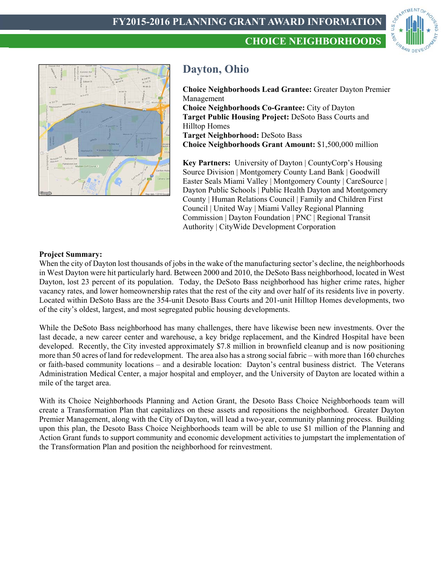



# **Dayton, Ohio**

**Choice Neighborhoods Lead Grantee:** Greater Dayton Premier Management **Choice Neighborhoods Co-Grantee:** City of Dayton **Target Public Housing Project:** DeSoto Bass Courts and Hilltop Homes **Target Neighborhood:** DeSoto Bass **Choice Neighborhoods Grant Amount:** \$1,500,000 million

**CHOICE NEIGHBORHOODS**

**Key Partners:** University of Dayton | CountyCorp's Housing Source Division | Montgomery County Land Bank | Goodwill Easter Seals Miami Valley | Montgomery County | CareSource | Dayton Public Schools | Public Health Dayton and Montgomery County | Human Relations Council | Family and Children First Council | United Way | Miami Valley Regional Planning Commission | Dayton Foundation | PNC | Regional Transit Authority | CityWide Development Corporation

## **Project Summary:**

When the city of Dayton lost thousands of jobs in the wake of the manufacturing sector's decline, the neighborhoods in West Dayton were hit particularly hard. Between 2000 and 2010, the DeSoto Bass neighborhood, located in West Dayton, lost 23 percent of its population. Today, the DeSoto Bass neighborhood has higher crime rates, higher vacancy rates, and lower homeownership rates that the rest of the city and over half of its residents live in poverty. Located within DeSoto Bass are the 354-unit Desoto Bass Courts and 201-unit Hilltop Homes developments, two of the city's oldest, largest, and most segregated public housing developments.

While the DeSoto Bass neighborhood has many challenges, there have likewise been new investments. Over the last decade, a new career center and warehouse, a key bridge replacement, and the Kindred Hospital have been developed. Recently, the City invested approximately \$7.8 million in brownfield cleanup and is now positioning more than 50 acres of land for redevelopment. The area also has a strong social fabric – with more than 160 churches or faith-based community locations – and a desirable location: Dayton's central business district. The Veterans Administration Medical Center, a major hospital and employer, and the University of Dayton are located within a mile of the target area.

With its Choice Neighborhoods Planning and Action Grant, the Desoto Bass Choice Neighborhoods team will create a Transformation Plan that capitalizes on these assets and repositions the neighborhood. Greater Dayton Premier Management, along with the City of Dayton, will lead a two-year, community planning process. Building upon this plan, the Desoto Bass Choice Neighborhoods team will be able to use \$1 million of the Planning and Action Grant funds to support community and economic development activities to jumpstart the implementation of the Transformation Plan and position the neighborhood for reinvestment.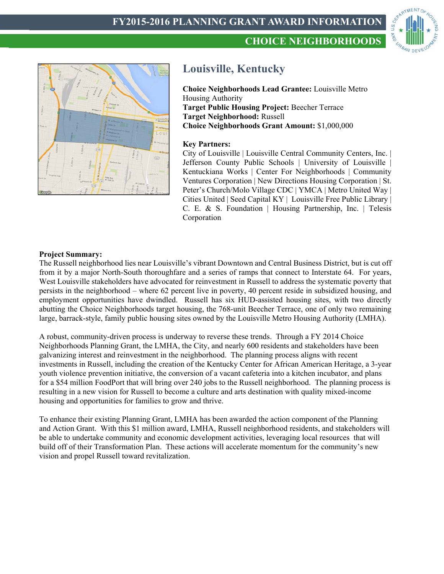





# **Louisville, Kentucky**

**Choice Neighborhoods Lead Grantee:** Louisville Metro Housing Authority **Target Public Housing Project:** Beecher Terrace **Target Neighborhood:** Russell **Choice Neighborhoods Grant Amount:** \$1,000,000

#### **Key Partners:**

City of Louisville | Louisville Central Community Centers, Inc. | Jefferson County Public Schools | University of Louisville | Kentuckiana Works | Center For Neighborhoods | Community Ventures Corporation | New Directions Housing Corporation | St. Peter's Church/Molo Village CDC | YMCA | Metro United Way | Cities United | Seed Capital KY | Louisville Free Public Library | C. E. & S. Foundation | Housing Partnership, Inc. | Telesis Corporation

#### **Project Summary:**

The Russell neighborhood lies near Louisville's vibrant Downtown and Central Business District, but is cut off from it by a major North-South thoroughfare and a series of ramps that connect to Interstate 64. For years, West Louisville stakeholders have advocated for reinvestment in Russell to address the systematic poverty that persists in the neighborhood – where 62 percent live in poverty, 40 percent reside in subsidized housing, and employment opportunities have dwindled. Russell has six HUD-assisted housing sites, with two directly abutting the Choice Neighborhoods target housing, the 768-unit Beecher Terrace, one of only two remaining large, barrack-style, family public housing sites owned by the Louisville Metro Housing Authority (LMHA).

A robust, community-driven process is underway to reverse these trends. Through a FY 2014 Choice Neighborhoods Planning Grant, the LMHA, the City, and nearly 600 residents and stakeholders have been galvanizing interest and reinvestment in the neighborhood. The planning process aligns with recent investments in Russell, including the creation of the Kentucky Center for African American Heritage, a 3-year youth violence prevention initiative, the conversion of a vacant cafeteria into a kitchen incubator, and plans for a \$54 million FoodPort that will bring over 240 jobs to the Russell neighborhood. The planning process is resulting in a new vision for Russell to become a culture and arts destination with quality mixed-income housing and opportunities for families to grow and thrive.

To enhance their existing Planning Grant, LMHA has been awarded the action component of the Planning and Action Grant. With this \$1 million award, LMHA, Russell neighborhood residents, and stakeholders will be able to undertake community and economic development activities, leveraging local resources that will build off of their Transformation Plan. These actions will accelerate momentum for the community's new vision and propel Russell toward revitalization.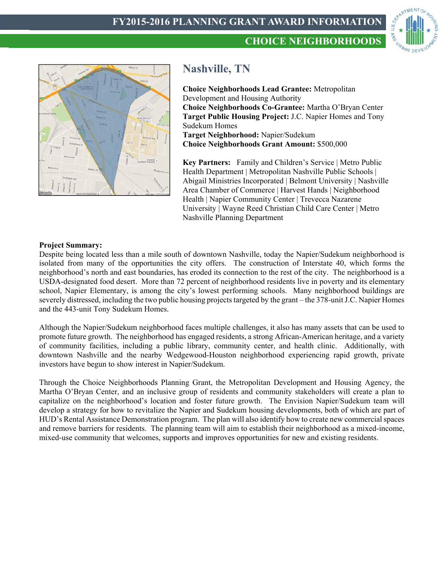





# **Nashville, TN**

**Choice Neighborhoods Lead Grantee:** Metropolitan Development and Housing Authority **Choice Neighborhoods Co-Grantee:** Martha O'Bryan Center **Target Public Housing Project:** J.C. Napier Homes and Tony Sudekum Homes **Target Neighborhood:** Napier/Sudekum **Choice Neighborhoods Grant Amount:** \$500,000

**Key Partners:** Family and Children's Service | Metro Public Health Department | Metropolitan Nashville Public Schools | Abigail Ministries Incorporated | Belmont University | Nashville Area Chamber of Commerce | Harvest Hands | Neighborhood Health | Napier Community Center | Trevecca Nazarene University | Wayne Reed Christian Child Care Center | Metro Nashville Planning Department

#### **Project Summary:**

Despite being located less than a mile south of downtown Nashville, today the Napier/Sudekum neighborhood is isolated from many of the opportunities the city offers. The construction of Interstate 40, which forms the neighborhood's north and east boundaries, has eroded its connection to the rest of the city. The neighborhood is a USDA-designated food desert. More than 72 percent of neighborhood residents live in poverty and its elementary school, Napier Elementary, is among the city's lowest performing schools. Many neighborhood buildings are severely distressed, including the two public housing projects targeted by the grant – the 378-unit J.C. Napier Homes and the 443-unit Tony Sudekum Homes.

Although the Napier/Sudekum neighborhood faces multiple challenges, it also has many assets that can be used to promote future growth. The neighborhood has engaged residents, a strong African-American heritage, and a variety of community facilities, including a public library, community center, and health clinic. Additionally, with downtown Nashville and the nearby Wedgewood-Houston neighborhood experiencing rapid growth, private investors have begun to show interest in Napier/Sudekum.

Through the Choice Neighborhoods Planning Grant, the Metropolitan Development and Housing Agency, the Martha O'Bryan Center, and an inclusive group of residents and community stakeholders will create a plan to capitalize on the neighborhood's location and foster future growth. The Envision Napier/Sudekum team will develop a strategy for how to revitalize the Napier and Sudekum housing developments, both of which are part of HUD's Rental Assistance Demonstration program. The plan will also identify how to create new commercial spaces and remove barriers for residents. The planning team will aim to establish their neighborhood as a mixed-income, mixed-use community that welcomes, supports and improves opportunities for new and existing residents.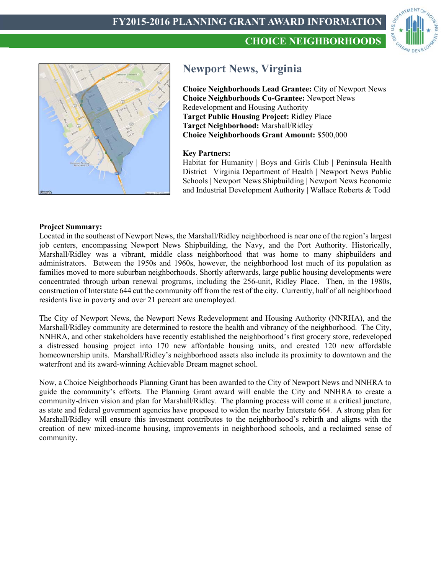



# **Newport News, Virginia**

**Choice Neighborhoods Lead Grantee:** City of Newport News **Choice Neighborhoods Co-Grantee:** Newport News Redevelopment and Housing Authority **Target Public Housing Project:** Ridley Place **Target Neighborhood:** Marshall/Ridley **Choice Neighborhoods Grant Amount:** \$500,000

**CHOICE NEIGHBORHOODS**

## **Key Partners:**

Habitat for Humanity | Boys and Girls Club | Peninsula Health District | Virginia Department of Health | Newport News Public Schools | Newport News Shipbuilding | Newport News Economic and Industrial Development Authority | Wallace Roberts & Todd

#### **Project Summary:**

Located in the southeast of Newport News, the Marshall/Ridley neighborhood is near one of the region's largest job centers, encompassing Newport News Shipbuilding, the Navy, and the Port Authority. Historically, Marshall/Ridley was a vibrant, middle class neighborhood that was home to many shipbuilders and administrators. Between the 1950s and 1960s, however, the neighborhood lost much of its population as families moved to more suburban neighborhoods. Shortly afterwards, large public housing developments were concentrated through urban renewal programs, including the 256-unit, Ridley Place. Then, in the 1980s, construction of Interstate 644 cut the community off from the rest of the city. Currently, half of all neighborhood residents live in poverty and over 21 percent are unemployed.

The City of Newport News, the Newport News Redevelopment and Housing Authority (NNRHA), and the Marshall/Ridley community are determined to restore the health and vibrancy of the neighborhood. The City, NNHRA, and other stakeholders have recently established the neighborhood's first grocery store, redeveloped a distressed housing project into 170 new affordable housing units, and created 120 new affordable homeownership units. Marshall/Ridley's neighborhood assets also include its proximity to downtown and the waterfront and its award-winning Achievable Dream magnet school.

Now, a Choice Neighborhoods Planning Grant has been awarded to the City of Newport News and NNHRA to guide the community's efforts. The Planning Grant award will enable the City and NNHRA to create a community-driven vision and plan for Marshall/Ridley. The planning process will come at a critical juncture, as state and federal government agencies have proposed to widen the nearby Interstate 664. A strong plan for Marshall/Ridley will ensure this investment contributes to the neighborhood's rebirth and aligns with the creation of new mixed-income housing, improvements in neighborhood schools, and a reclaimed sense of community.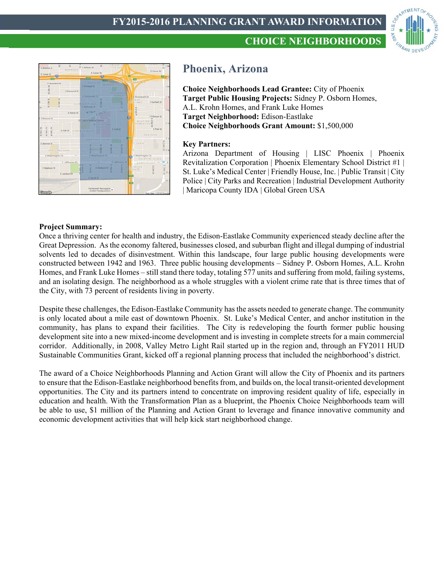





# **Phoenix, Arizona**

**Choice Neighborhoods Lead Grantee:** City of Phoenix **Target Public Housing Projects:** Sidney P. Osborn Homes, A.L. Krohn Homes, and Frank Luke Homes **Target Neighborhood:** Edison-Eastlake **Choice Neighborhoods Grant Amount:** \$1,500,000

## **Key Partners:**

Arizona Department of Housing | LISC Phoenix | Phoenix Revitalization Corporation | Phoenix Elementary School District #1 | St. Luke's Medical Center | Friendly House, Inc. | Public Transit | City Police | City Parks and Recreation | Industrial Development Authority | Maricopa County IDA | Global Green USA

#### **Project Summary:**

Once a thriving center for health and industry, the Edison-Eastlake Community experienced steady decline after the Great Depression. As the economy faltered, businesses closed, and suburban flight and illegal dumping of industrial solvents led to decades of disinvestment. Within this landscape, four large public housing developments were constructed between 1942 and 1963. Three public housing developments – Sidney P. Osborn Homes, A.L. Krohn Homes, and Frank Luke Homes – still stand there today, totaling 577 units and suffering from mold, failing systems, and an isolating design. The neighborhood as a whole struggles with a violent crime rate that is three times that of the City, with 73 percent of residents living in poverty.

Despite these challenges, the Edison-Eastlake Community has the assets needed to generate change. The community is only located about a mile east of downtown Phoenix. St. Luke's Medical Center, and anchor institution in the community, has plans to expand their facilities. The City is redeveloping the fourth former public housing development site into a new mixed-income development and is investing in complete streets for a main commercial corridor. Additionally, in 2008, Valley Metro Light Rail started up in the region and, through an FY2011 HUD Sustainable Communities Grant, kicked off a regional planning process that included the neighborhood's district.

The award of a Choice Neighborhoods Planning and Action Grant will allow the City of Phoenix and its partners to ensure that the Edison-Eastlake neighborhood benefits from, and builds on, the local transit-oriented development opportunities. The City and its partners intend to concentrate on improving resident quality of life, especially in education and health. With the Transformation Plan as a blueprint, the Phoenix Choice Neighborhoods team will be able to use, \$1 million of the Planning and Action Grant to leverage and finance innovative community and economic development activities that will help kick start neighborhood change.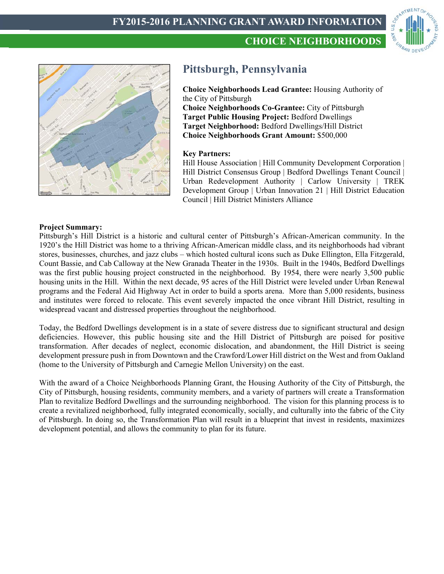



# **Pittsburgh, Pennsylvania**

**Choice Neighborhoods Lead Grantee:** Housing Authority of the City of Pittsburgh **Choice Neighborhoods Co-Grantee:** City of Pittsburgh **Target Public Housing Project:** Bedford Dwellings **Target Neighborhood:** Bedford Dwellings/Hill District **Choice Neighborhoods Grant Amount:** \$500,000

**CHOICE NEIGHBORHOODS**

## **Key Partners:**

Hill House Association | Hill Community Development Corporation | Hill District Consensus Group | Bedford Dwellings Tenant Council | Urban Redevelopment Authority | Carlow University | TREK Development Group | Urban Innovation 21 | Hill District Education Council | Hill District Ministers Alliance

#### **Project Summary:**

Pittsburgh's Hill District is a historic and cultural center of Pittsburgh's African-American community. In the 1920's the Hill District was home to a thriving African-American middle class, and its neighborhoods had vibrant stores, businesses, churches, and jazz clubs – which hosted cultural icons such as Duke Ellington, Ella Fitzgerald, Count Bassie, and Cab Calloway at the New Granada Theater in the 1930s. Built in the 1940s, Bedford Dwellings was the first public housing project constructed in the neighborhood. By 1954, there were nearly 3,500 public housing units in the Hill. Within the next decade, 95 acres of the Hill District were leveled under Urban Renewal programs and the Federal Aid Highway Act in order to build a sports arena. More than 5,000 residents, business and institutes were forced to relocate. This event severely impacted the once vibrant Hill District, resulting in widespread vacant and distressed properties throughout the neighborhood.

Today, the Bedford Dwellings development is in a state of severe distress due to significant structural and design deficiencies. However, this public housing site and the Hill District of Pittsburgh are poised for positive transformation. After decades of neglect, economic dislocation, and abandonment, the Hill District is seeing development pressure push in from Downtown and the Crawford/Lower Hill district on the West and from Oakland (home to the University of Pittsburgh and Carnegie Mellon University) on the east.

With the award of a Choice Neighborhoods Planning Grant, the Housing Authority of the City of Pittsburgh, the City of Pittsburgh, housing residents, community members, and a variety of partners will create a Transformation Plan to revitalize Bedford Dwellings and the surrounding neighborhood. The vision for this planning process is to create a revitalized neighborhood, fully integrated economically, socially, and culturally into the fabric of the City of Pittsburgh. In doing so, the Transformation Plan will result in a blueprint that invest in residents, maximizes development potential, and allows the community to plan for its future.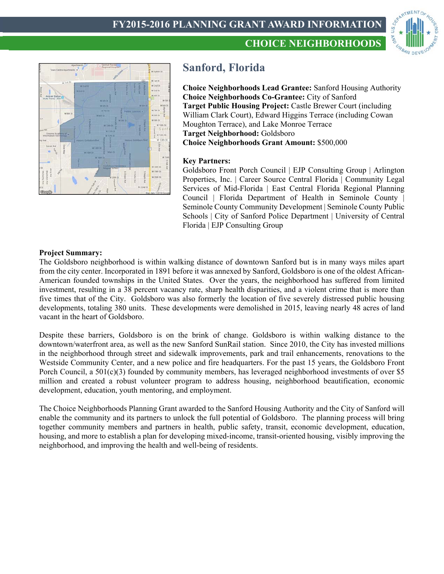



# **Sanford, Florida**

**Choice Neighborhoods Lead Grantee:** Sanford Housing Authority **Choice Neighborhoods Co-Grantee:** City of Sanford **Target Public Housing Project:** Castle Brewer Court (including William Clark Court), Edward Higgins Terrace (including Cowan Moughton Terrace), and Lake Monroe Terrace **Target Neighborhood:** Goldsboro **Choice Neighborhoods Grant Amount:** \$500,000

**CHOICE NEIGHBORHOODS**

## **Key Partners:**

Goldsboro Front Porch Council | EJP Consulting Group | Arlington Properties, Inc. | Career Source Central Florida | Community Legal Services of Mid-Florida | East Central Florida Regional Planning Council | Florida Department of Health in Seminole County | Seminole County Community Development | Seminole County Public Schools | City of Sanford Police Department | University of Central Florida | EJP Consulting Group

## **Project Summary:**

The Goldsboro neighborhood is within walking distance of downtown Sanford but is in many ways miles apart from the city center. Incorporated in 1891 before it was annexed by Sanford, Goldsboro is one of the oldest African-American founded townships in the United States. Over the years, the neighborhood has suffered from limited investment, resulting in a 38 percent vacancy rate, sharp health disparities, and a violent crime that is more than five times that of the City. Goldsboro was also formerly the location of five severely distressed public housing developments, totaling 380 units. These developments were demolished in 2015, leaving nearly 48 acres of land vacant in the heart of Goldsboro.

Despite these barriers, Goldsboro is on the brink of change. Goldsboro is within walking distance to the downtown/waterfront area, as well as the new Sanford SunRail station. Since 2010, the City has invested millions in the neighborhood through street and sidewalk improvements, park and trail enhancements, renovations to the Westside Community Center, and a new police and fire headquarters. For the past 15 years, the Goldsboro Front Porch Council, a  $501(c)(3)$  founded by community members, has leveraged neighborhood investments of over \$5 million and created a robust volunteer program to address housing, neighborhood beautification, economic development, education, youth mentoring, and employment.

The Choice Neighborhoods Planning Grant awarded to the Sanford Housing Authority and the City of Sanford will enable the community and its partners to unlock the full potential of Goldsboro. The planning process will bring together community members and partners in health, public safety, transit, economic development, education, housing, and more to establish a plan for developing mixed-income, transit-oriented housing, visibly improving the neighborhood, and improving the health and well-being of residents.